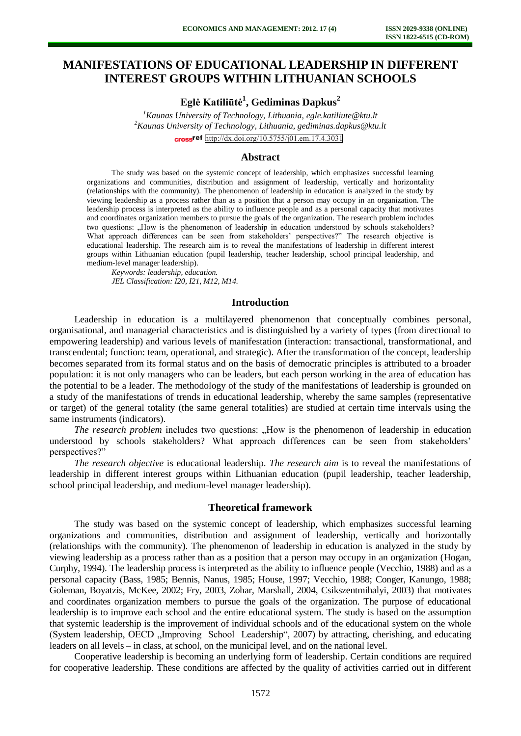# **MANIFESTATIONS OF EDUCATIONAL LEADERSHIP IN DIFFERENT INTEREST GROUPS WITHIN LITHUANIAN SCHOOLS**

**Eglė Katiliūtė<sup>1</sup> , Gediminas Dapkus<sup>2</sup>**

*<sup>1</sup>Kaunas University of Technology, Lithuania, [egle.katiliute@ktu.lt](mailto:egle.katiliute@ktu.lt)* *<sup>2</sup>Kaunas University of Technology, Lithuania, gediminas.dapkus@ktu.lt* cross<sup>ref</sup> <http://dx.doi.org/10.5755/j01.em.17.4.3031>

## **Abstract**

The study was based on the systemic concept of leadership, which emphasizes successful learning organizations and communities, distribution and assignment of leadership, vertically and horizontality (relationships with the community). The phenomenon of leadership in education is analyzed in the study by viewing leadership as a process rather than as a position that a person may occupy in an organization. The leadership process is interpreted as the ability to influence people and as a personal capacity that motivates and coordinates organization members to pursue the goals of the organization. The research problem includes two questions: "How is the phenomenon of leadership in education understood by schools stakeholders? What approach differences can be seen from stakeholders' perspectives?" The research objective is educational leadership. The research aim is to reveal the manifestations of leadership in different interest groups within Lithuanian education (pupil leadership, teacher leadership, school principal leadership, and medium-level manager leadership).

*Keywords: leadership, education. JEL Classification: I20, I21, M12, M14.* 

### **Introduction**

Leadership in education is a multilayered phenomenon that conceptually combines personal, organisational, and managerial characteristics and is distinguished by a variety of types (from directional to empowering leadership) and various levels of manifestation (interaction: transactional, transformational, and transcendental; function: team, operational, and strategic). After the transformation of the concept, leadership becomes separated from its formal status and on the basis of democratic principles is attributed to a broader population: it is not only managers who can be leaders, but each person working in the area of education has the potential to be a leader. The methodology of the study of the manifestations of leadership is grounded on a study of the manifestations of trends in educational leadership, whereby the same samples (representative or target) of the general totality (the same general totalities) are studied at certain time intervals using the same instruments (indicators).

*The research problem* includes two questions: "How is the phenomenon of leadership in education understood by schools stakeholders? What approach differences can be seen from stakeholders' perspectives?"

*The research objective* is educational leadership. *The research aim* is to reveal the manifestations of leadership in different interest groups within Lithuanian education (pupil leadership, teacher leadership, school principal leadership, and medium-level manager leadership).

#### **Theoretical framework**

The study was based on the systemic concept of leadership, which emphasizes successful learning organizations and communities, distribution and assignment of leadership, vertically and horizontally (relationships with the community). The phenomenon of leadership in education is analyzed in the study by viewing leadership as a process rather than as a position that a person may occupy in an organization (Hogan, Curphy, 1994). The leadership process is interpreted as the ability to influence people (Vecchio, 1988) and as a personal capacity (Bass, 1985; Bennis, Nanus, 1985; House, 1997; Vecchio, 1988; Conger, Kanungo, 1988; Goleman, Boyatzis, McKee, 2002; Fry, 2003, Zohar, Marshall, 2004, Csikszentmihalyi, 2003) that motivates and coordinates organization members to pursue the goals of the organization. The purpose of educational leadership is to improve each school and the entire educational system. The study is based on the assumption that systemic leadership is the improvement of individual schools and of the educational system on the whole (System leadership, OECD , Improving School Leadership", 2007) by attracting, cherishing, and educating leaders on all levels – in class, at school, on the municipal level, and on the national level.

Cooperative leadership is becoming an underlying form of leadership. Certain conditions are required for cooperative leadership. These conditions are affected by the quality of activities carried out in different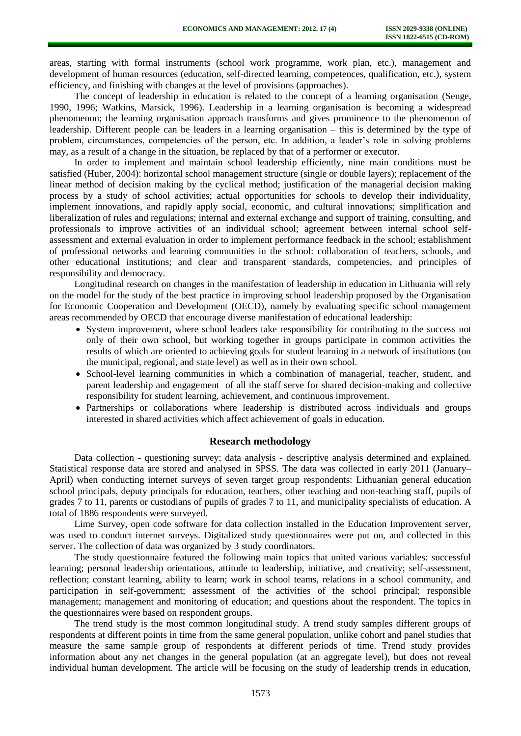areas, starting with formal instruments (school work programme, work plan, etc.), management and development of human resources (education, self-directed learning, competences, qualification, etc.), system efficiency, and finishing with changes at the level of provisions (approaches).

The concept of leadership in education is related to the concept of a learning organisation (Senge, 1990, 1996; Watkins, Marsick, 1996). Leadership in a learning organisation is becoming a widespread phenomenon; the learning organisation approach transforms and gives prominence to the phenomenon of leadership. Different people can be leaders in a learning organisation – this is determined by the type of problem, circumstances, competencies of the person, etc. In addition, a leader's role in solving problems may, as a result of a change in the situation, be replaced by that of a performer or executor.

In order to implement and maintain school leadership efficiently, nine main conditions must be satisfied (Huber, 2004): horizontal school management structure (single or double layers); replacement of the linear method of decision making by the cyclical method; justification of the managerial decision making process by a study of school activities; actual opportunities for schools to develop their individuality, implement innovations, and rapidly apply social, economic, and cultural innovations; simplification and liberalization of rules and regulations; internal and external exchange and support of training, consulting, and professionals to improve activities of an individual school; agreement between internal school selfassessment and external evaluation in order to implement performance feedback in the school; establishment of professional networks and learning communities in the school: collaboration of teachers, schools, and other educational institutions; and clear and transparent standards, competencies, and principles of responsibility and democracy.

Longitudinal research on changes in the manifestation of leadership in education in Lithuania will rely on the model for the study of the best practice in improving school leadership proposed by the Organisation for Economic Cooperation and Development (OECD), namely by evaluating specific school management areas recommended by OECD that encourage diverse manifestation of educational leadership:

- System improvement, where school leaders take responsibility for contributing to the success not only of their own school, but working together in groups participate in common activities the results of which are oriented to achieving goals for student learning in a network of institutions (on the municipal, regional, and state level) as well as in their own school.
- School-level learning communities in which a combination of managerial, teacher, student, and parent leadership and engagement of all the staff serve for shared decision-making and collective responsibility for student learning, achievement, and continuous improvement.
- Partnerships or collaborations where leadership is distributed across individuals and groups interested in shared activities which affect achievement of goals in education.

#### **Research methodology**

Data collection - questioning survey; data analysis - descriptive analysis determined and explained. Statistical response data are stored and analysed in SPSS. The data was collected in early 2011 (January– April) when conducting internet surveys of seven target group respondents: Lithuanian general education school principals, deputy principals for education, teachers, other teaching and non-teaching staff, pupils of grades 7 to 11, parents or custodians of pupils of grades 7 to 11, and municipality specialists of education. A total of 1886 respondents were surveyed.

Lime Survey, open code software for data collection installed in the Education Improvement server, was used to conduct internet surveys. Digitalized study questionnaires were put on, and collected in this server. The collection of data was organized by 3 study coordinators.

The study questionnaire featured the following main topics that united various variables: successful learning; personal leadership orientations, attitude to leadership, initiative, and creativity; self-assessment, reflection; constant learning, ability to learn; work in school teams, relations in a school community, and participation in self-government; assessment of the activities of the school principal; responsible management; management and monitoring of education; and questions about the respondent. The topics in the questionnaires were based on respondent groups.

The trend study is the most common longitudinal study. A trend study samples different groups of respondents at different points in time from the same general population, unlike cohort and panel studies that measure the same sample group of respondents at different periods of time. Trend study provides information about any net changes in the general population (at an aggregate level), but does not reveal individual human development. The article will be focusing on the study of leadership trends in education,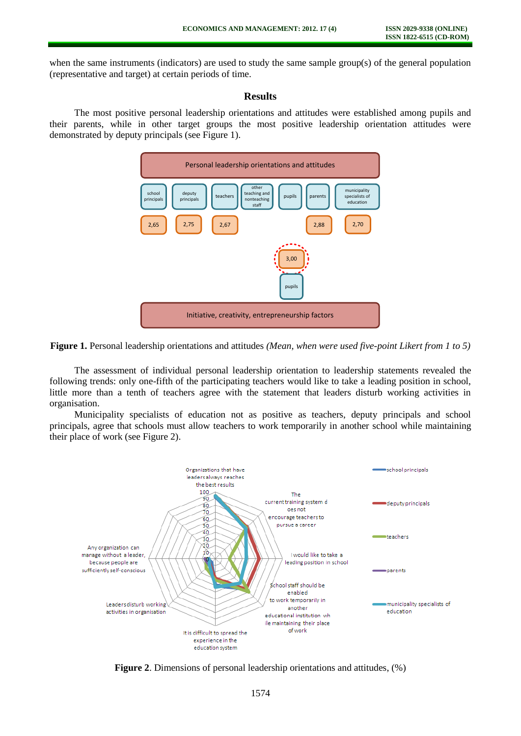when the same instruments (indicators) are used to study the same sample group(s) of the general population (representative and target) at certain periods of time.

### **Results**

The most positive personal leadership orientations and attitudes were established among pupils and their parents, while in other target groups the most positive leadership orientation attitudes were demonstrated by deputy principals (see Figure 1).





The assessment of individual personal leadership orientation to leadership statements revealed the following trends: only one-fifth of the participating teachers would like to take a leading position in school, little more than a tenth of teachers agree with the statement that leaders disturb working activities in organisation.

Municipality specialists of education not as positive as teachers, deputy principals and school principals, agree that schools must allow teachers to work temporarily in another school while maintaining their place of work (see Figure 2).



**Figure 2**. Dimensions of personal leadership orientations and attitudes, (%)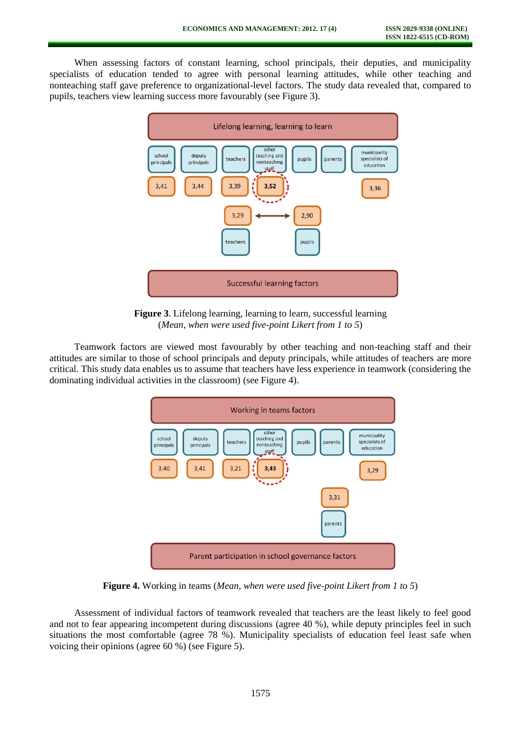When assessing factors of constant learning, school principals, their deputies, and municipality specialists of education tended to agree with personal learning attitudes, while other teaching and nonteaching staff gave preference to organizational-level factors. The study data revealed that, compared to pupils, teachers view learning success more favourably (see Figure 3).



**Figure 3**. Lifelong learning, learning to learn, successful learning (*Mean, when were used five-point Likert from 1 to 5*)

Teamwork factors are viewed most favourably by other teaching and non-teaching staff and their attitudes are similar to those of school principals and deputy principals, while attitudes of teachers are more critical. This study data enables us to assume that teachers have less experience in teamwork (considering the dominating individual activities in the classroom) (see Figure 4).



**Figure 4.** Working in teams (*Mean, when were used five-point Likert from 1 to 5*)

Assessment of individual factors of teamwork revealed that teachers are the least likely to feel good and not to fear appearing incompetent during discussions (agree 40 %), while deputy principles feel in such situations the most comfortable (agree 78 %). Municipality specialists of education feel least safe when voicing their opinions (agree 60 %) (see Figure 5).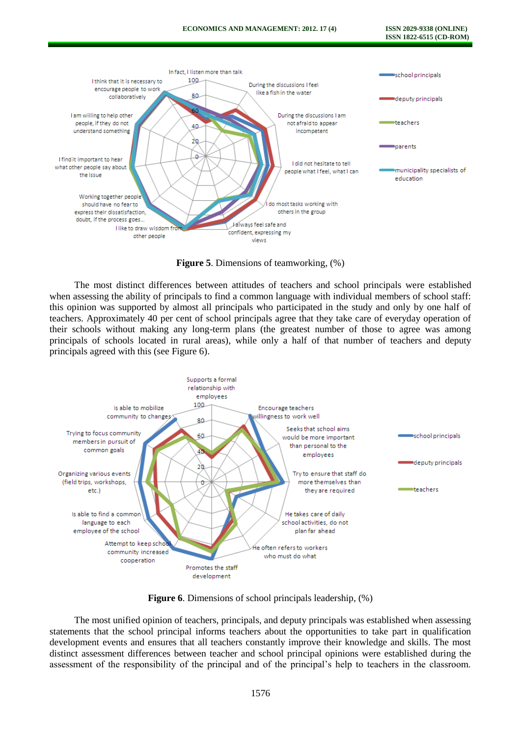

**Figure 5**. Dimensions of teamworking, (%)

The most distinct differences between attitudes of teachers and school principals were established when assessing the ability of principals to find a common language with individual members of school staff: this opinion was supported by almost all principals who participated in the study and only by one half of teachers. Approximately 40 per cent of school principals agree that they take care of everyday operation of their schools without making any long-term plans (the greatest number of those to agree was among principals of schools located in rural areas), while only a half of that number of teachers and deputy principals agreed with this (see Figure 6).



**Figure 6.** Dimensions of school principals leadership,  $(\%)$ 

The most unified opinion of teachers, principals, and deputy principals was established when assessing statements that the school principal informs teachers about the opportunities to take part in qualification development events and ensures that all teachers constantly improve their knowledge and skills. The most distinct assessment differences between teacher and school principal opinions were established during the assessment of the responsibility of the principal and of the principal's help to teachers in the classroom.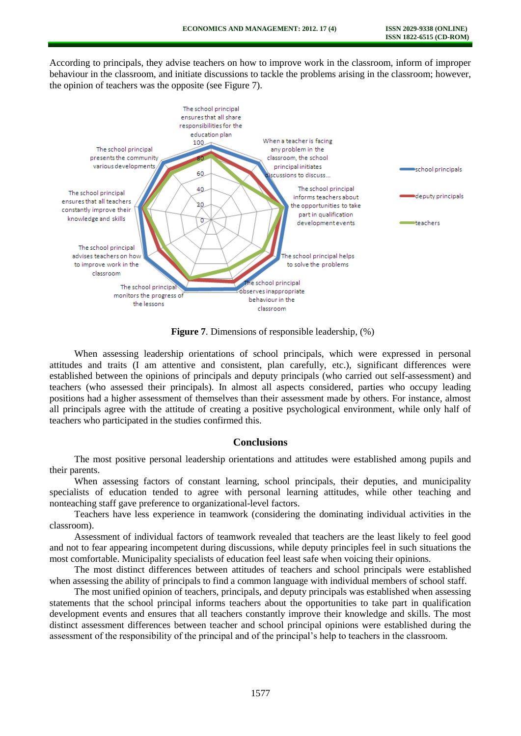According to principals, they advise teachers on how to improve work in the classroom, inform of improper behaviour in the classroom, and initiate discussions to tackle the problems arising in the classroom; however, the opinion of teachers was the opposite (see Figure 7).



**Figure 7**. Dimensions of responsible leadership, (%)

When assessing leadership orientations of school principals, which were expressed in personal attitudes and traits (I am attentive and consistent, plan carefully, etc.), significant differences were established between the opinions of principals and deputy principals (who carried out self-assessment) and teachers (who assessed their principals). In almost all aspects considered, parties who occupy leading positions had a higher assessment of themselves than their assessment made by others. For instance, almost all principals agree with the attitude of creating a positive psychological environment, while only half of teachers who participated in the studies confirmed this.

### **Conclusions**

The most positive personal leadership orientations and attitudes were established among pupils and their parents.

When assessing factors of constant learning, school principals, their deputies, and municipality specialists of education tended to agree with personal learning attitudes, while other teaching and nonteaching staff gave preference to organizational-level factors.

Teachers have less experience in teamwork (considering the dominating individual activities in the classroom).

Assessment of individual factors of teamwork revealed that teachers are the least likely to feel good and not to fear appearing incompetent during discussions, while deputy principles feel in such situations the most comfortable. Municipality specialists of education feel least safe when voicing their opinions.

The most distinct differences between attitudes of teachers and school principals were established when assessing the ability of principals to find a common language with individual members of school staff.

The most unified opinion of teachers, principals, and deputy principals was established when assessing statements that the school principal informs teachers about the opportunities to take part in qualification development events and ensures that all teachers constantly improve their knowledge and skills. The most distinct assessment differences between teacher and school principal opinions were established during the assessment of the responsibility of the principal and of the principal's help to teachers in the classroom.